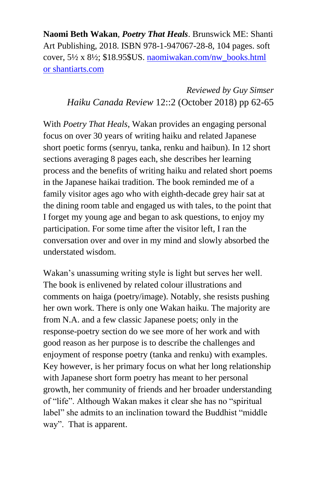**Naomi Beth Wakan**, *Poetry That Heals*. Brunswick ME: Shanti Art Publishing, 2018. ISBN 978-1-947067-28-8, 104 pages. soft cover, 5½ x 8½; \$18.95\$US. [naomiwakan.com/nw\\_books.html](http://naomiwakan.com/nw_books.html) or [shantiarts.com](http://www.shantiarts.com/)

> *Reviewed by Guy Simser Haiku Canada Review* 12::2 (October 2018) pp 62-65

With *Poetry That Heals*, Wakan provides an engaging personal focus on over 30 years of writing haiku and related Japanese short poetic forms (senryu, tanka, renku and haibun). In 12 short sections averaging 8 pages each, she describes her learning process and the benefits of writing haiku and related short poems in the Japanese haikai tradition. The book reminded me of a family visitor ages ago who with eighth-decade grey hair sat at the dining room table and engaged us with tales, to the point that I forget my young age and began to ask questions, to enjoy my participation. For some time after the visitor left, I ran the conversation over and over in my mind and slowly absorbed the understated wisdom.

Wakan's unassuming writing style is light but serves her well. The book is enlivened by related colour illustrations and comments on haiga (poetry/image). Notably, she resists pushing her own work. There is only one Wakan haiku. The majority are from N.A. and a few classic Japanese poets; only in the response-poetry section do we see more of her work and with good reason as her purpose is to describe the challenges and enjoyment of response poetry (tanka and renku) with examples. Key however, is her primary focus on what her long relationship with Japanese short form poetry has meant to her personal growth, her community of friends and her broader understanding of "life". Although Wakan makes it clear she has no "spiritual label" she admits to an inclination toward the Buddhist "middle way". That is apparent.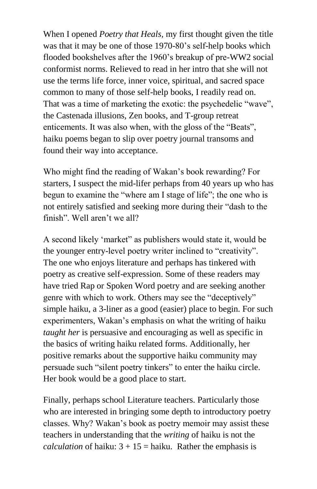When I opened *Poetry that Heals,* my first thought given the title was that it may be one of those 1970-80's self-help books which flooded bookshelves after the 1960's breakup of pre-WW2 social conformist norms. Relieved to read in her intro that she will not use the terms life force, inner voice, spiritual, and sacred space common to many of those self-help books, I readily read on. That was a time of marketing the exotic: the psychedelic "wave", the Castenada illusions, Zen books, and T-group retreat enticements. It was also when, with the gloss of the "Beats", haiku poems began to slip over poetry journal transoms and found their way into acceptance.

Who might find the reading of Wakan's book rewarding? For starters, I suspect the mid-lifer perhaps from 40 years up who has begun to examine the "where am I stage of life"; the one who is not entirely satisfied and seeking more during their "dash to the finish". Well aren't we all?

A second likely 'market" as publishers would state it, would be the younger entry-level poetry writer inclined to "creativity". The one who enjoys literature and perhaps has tinkered with poetry as creative self-expression. Some of these readers may have tried Rap or Spoken Word poetry and are seeking another genre with which to work. Others may see the "deceptively" simple haiku, a 3-liner as a good (easier) place to begin. For such experimenters, Wakan's emphasis on what the writing of haiku *taught her* is persuasive and encouraging as well as specific in the basics of writing haiku related forms. Additionally, her positive remarks about the supportive haiku community may persuade such "silent poetry tinkers" to enter the haiku circle. Her book would be a good place to start.

Finally, perhaps school Literature teachers. Particularly those who are interested in bringing some depth to introductory poetry classes. Why? Wakan's book as poetry memoir may assist these teachers in understanding that the *writing* of haiku is not the *calculation* of haiku:  $3 + 15 =$  haiku. Rather the emphasis is